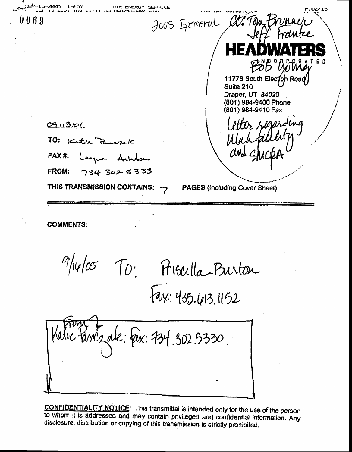UIE ENERUT SERVICE '1Ь--2023 כז יאם. 2005 General Clifan Brunner I (I 6 9 PSB US 11778 South Election Road Suite 210 Draper, UT 84020 (801) 984-9400 Phone (801) 984-9410 Fax Letter regarding  $09/13/0/$ TO: Katre Percept FAX#: Languer Achter **FROM:**  $734302533$ THIS TRANSMISSION CONTAINS: **PAGES (Including Cover Sheet)** 

**COMMENTS:** 

 $\frac{9}{10}\sqrt{25}$  To: Frigadla-Burton

Kinc2 ale: Pex: 734.302.5330.

**CONFIDENTIALITY NOTICE:** This transmittal is intended only for the use of the person to whom it is addressed and may contain privileged and confidential information. Any disclosure, distribution or copying of this transmission is strictly prohibited.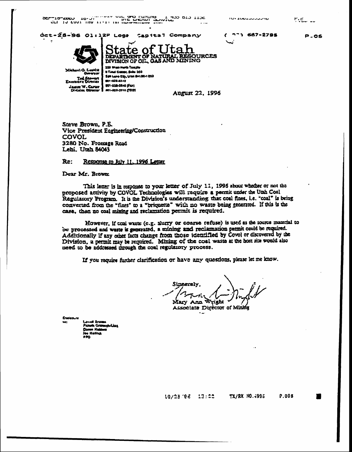$5<sub>CF</sub>$ 

 $(77)687 - 2795$ 

 $\Gamma$ .c

**P.05** 

Oct-25-96 01:12P Loge Capital Company



State of l ta h **OURCES** DIVISION OF OIL GAS AND MINING

Michael G. Leavitt ست Tel Stawart<br>Example Diretar James W. Carter

**3 Tind Ceaser, Sale 350** San Lake City, Ulah 841904 203 **BOT-SER EXERCITE** (UT) 358-3540 (FU) **BE1-308-3316 (TDD)** 

August 22, 1996

Steve Brown, P.E. Vice President Engineering/Construction COVOL 3280 No. Frontage Road Lehi. Utah 84043

#### Re: Response to July 11, 1996 Letter

Dear Mr. Brown:

This letter is in response to your letter of July 11, 1996 about whether or not the proposed activity by COVOL Technologies will require a permit under the Utah Coal Regularory Program. It is the Division's understanding that coal fines, i.e. 'coal' is bring converted from the "fines" to a "briquette" with no waste being generated. If this is the case, then no coal mining and reclamation permit is required.

However, if toal waste (e.g. slutry or coarse refuse) is used as the source material to be processed and waste is generated, a mining and reclamation permit could be required. Additionally if any other facts change from those identified by Covol or discovered by the Division, a permit may be required. Mining of the coal waste at the host site would also need to be addressed mough the coal regulatory process.

If you require further clarification or have any questions, please let me know.

Sineerelv Mary Ann Wright

Associate Director of Mining

10/25/96 13:22 TX/RX NO.4995 P.005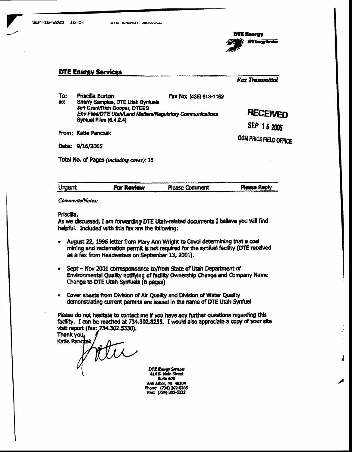**Fax Transmittal** 

 $\cdot$ 

1

**DTE Energy Services** 

**DTE Energy** 

| To: | Priscilla Burton                                                                     | Fax No: (435) 613-1152 |                        |
|-----|--------------------------------------------------------------------------------------|------------------------|------------------------|
| CC. | Sherry Samples, DTE Utah Synfuels<br>Jeff Grant/Rich Cooper, DTEES                   |                        |                        |
|     | Env Files/DTE Utah/Land Matters/Regulatory Communications<br>Synfuel Files (6.4.2.4) |                        | RECEIVED               |
|     |                                                                                      |                        | SEP 16 2005            |
|     | From: Katie Panczak                                                                  |                        | OGM PRICE FIELD OFFICE |

Date: 9/16/2005

**DTE Energy Services** 

Total No. of Pages (including cover): 15

| Urgent | For Review | <b>Please Comment</b> | <b>Please Reply</b> |
|--------|------------|-----------------------|---------------------|
|        |            |                       |                     |
|        |            |                       |                     |

Comments/Notes:

Priscilla,

As we discussed, I am forwarding DTE Utah-related documents I believe you will find helpful. Induded with this fax are the following:

- August 22, 1996 letter from Mary Ann Wright to Covol determining that a coal mining and reclamation permit is not required for the synfuel facility (DTE received as a fax from Headwaters on September 13, 2001).
- Sept Nov 2001 correspondence to/from State of Utah Department of Environmental Quality notifying of facility Ownership Change and Company Name Change to DTE Utah Synfuels (6 pages)
- Cover sheets from Division of Air Quality and Division of Water Quality demonstrating current permits are issued in the name of DTE Utah Synfuel

Please do not hesitate to contact me if you have any further questions regarding this facility. I can be reached at 734.302.8235. I would also appreciate a copy of your site visit report (fax: 734.302.5330).

Thank you, Katie Panczak ttu

**DTE Energy Services** 414 S. Main Street Suite 600 Ann Arbor, MI 48104<br>Phone: (734) 302-8235 Fax: (734) 302-5333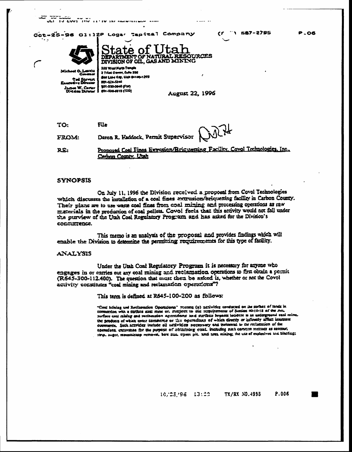$\begin{array}{lll} \textbf{1.3} & \textbf{C} & \textbf{A} & \textbf{B} & \textbf{B} & \textbf{B} & \textbf{B} & \textbf{B} & \textbf{B} & \textbf{B} & \textbf{B} & \textbf{B} & \textbf{B} & \textbf{B} & \textbf{B} & \textbf{B} & \textbf{B} & \textbf{B} & \textbf{B} & \textbf{B} & \textbf{B} & \textbf{B} & \textbf{B} & \textbf{B} & \textbf{B} & \textbf{B} & \textbf{B} & \textbf{B} & \textbf{B} & \textbf{B} &$ 

Oct-25-96 01:12P Logar Tapital Company

1 587-2795  $\epsilon$ r



itate of l DIVISION OF OIL, GAS AND MINING 355 West North Temple 3 Triac Canse, Culto 350 San Labe City, Ulah 64180-1203

ma **FOX-421-5240 BOT-DER-DER FOR** . W. Carte Jaam W.C.<br>Division Div (001) 8123-431 (100)

**August 22, 1996** 

URCES

File TO: Daron R. Haddock, Permit Supervisor **FROM:** 

Proposed Coal Fines Extrusion/Briqueming Facility, Covol Technologies, Inc., RE. Carbon County, Litah

## **SYNOPSIS**

On July 11, 1996 the Division received a proposal from Covol Technologies which discusses the installation of a coal fines extrusion/briquetting facility in Carbon County. Their plans are to use waste coal fines from coal mining and processing operations as raw menerials in the production of coal pellets. Covoi feels that this activity would not fall under the purview of the Utah Coal Regulatory Program and has asked for the Division's condurrence.

This memo is an analysis of the proposal and provides findings which will enable the Division to determine the permitting requirements for this type of facility.

### **ANALYSIS**

Under the Utah Coal Regulatory Program it is necessary for anyone who engages in or carries out any coal mining and reclamation operations to first obtain a permit (R645-300-112.400). The question that must then be asked is, whether or not the Covol activity constitutes "coal mining and reclamation operations"?

This term is defined at R645-100-200 as follows:

"Coul Miniag and Recisembes Operations" means (a) activities conducted on the surface of lands in commercion with a further small mine or. subject to the respirations of Semion 40-10-12 of the Act surface coal raining and reclamation operations and surface impacts incident in an undergrow md caal mine. the products of which enter commerce or the ogerations of which directly or edicatly affect interstate eventence. Such acavides include all consvicies necessary and incloental to the reclamation of the openuions, excavanes for the purpose of electricity equal including such comean methods as control 1000. Juget, mountaintop removal, base Sun open pit. and area mining; the use of explosives and blading;

> 10, 25, 96 13:22 TX/RX NO.4995 P.006

**P.06**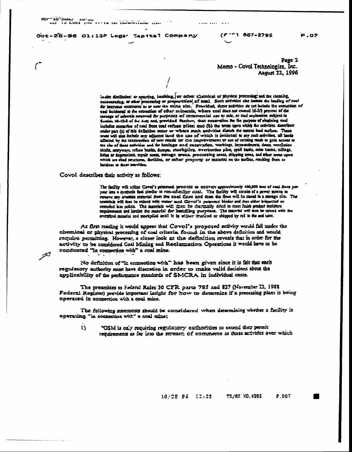OCF-10-CVOU AM IN CAAT HIA TILIA IN <u>IN NAINAITINA HIA</u> ...

Oct-25-26 01:13P Logar Capital Company

 $P.07$ 

Page 2 Memo - Covol Technologies, Inc. August 22, 1996

in-sim distillation: or revorting, leaching, or other chernical or physical processing and the cleaning, consentrating, or sthar processing or proparation of eral. Soch scrivities also lesbote the loading of cool east incidental to the extraction of other minescals, where coal does not exerci 16-20 percent of the tonnage of minerals removed for purposes of commercial use or sale, or end erploraton subject to m 40-10-2 of the Act; and provided further, that excevation for the purpose of retaining caul **Section** includes extraction of coal from coal ratuse piles: and (b) the areas upon which the activities described under part (2) of this definition occur or whose much nectwities disturb the numeri bad surface. These areas will also include any adjacent land the use of which is incidents! to any ruck artivities, all lands affected by the construction of new reads or the improvement or use of actual made to gain access to ou six of those servines and for houloge and excavation, worklags, impoundments, dans, vennistion shans, muryways ratuse banks, dumps, sterekpiles, overburden piles, spoll tenks, enim hanks, milings, holes or depressions, repair areas, surrage areas. procenting areas, shipping areas, and other areas upon which are shed seucores, facilides, or other property or meterial on the satises, reaking from or incident to those stayities.

Covol describes their activity as follows:

فبختر

The facility will urifize Covol's patastack process to entirent approximately 400,000 mar of coal fines per year into a systemic feel similar to run-are-time coal. The facility will cansist of a power screen to remove any oversize material from the coal fines and then the fines will be saved in a storage dilo. The mannish will then be mixed with water and Covol's patented binder and then elder briquened or extruded into pellets. The materials will them be thermalify dried to meet finish product moisture requirements and harden the munrial for hand ling purposes. The material will men be noised with the oversiged material and stockpiled until it is eleber crucked or shipped by rad to the and user.

At first reading it would appear that Covol's proposed activity would fall under the chemical or physical processing of coal criteria. found in the above definition and would require permitting. Howeve, a closer look at the definition reveals that in order for the activity to be considered Coal Mining and Reclarization Operations it would have to be conducted "in connection with" a coal mine.

No definition of "in connection with" has been given since it is felt that each regulatory authority must have discretion in order to make valid decisions shout the applicability of the performance standards of SMCRA in individual cases.

The preambles to Federal Rules 30 CFR parts 785 and \$27 (November 22, 1988 Federel Register) provide important insight for now to determine if a processing plant is being operated in connection with a coal mine.

The following statements should be considered when determining whether a facility is operating "in connection with" a coal mine;

 $\mathbf{I}$ "OSM is only requiring regulatory authorities to extend their permit requirements as far into the streament of commerce as those activities over which

> $10/25$   $96$   $13:22$ **TX/RX NO.4995** P.007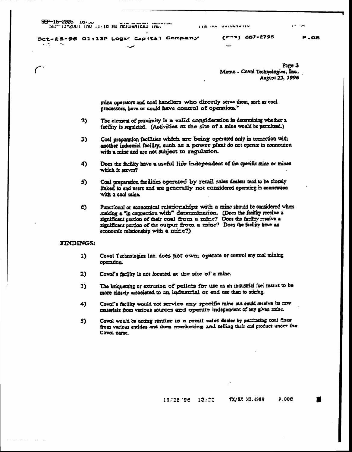SEP-16-2005 10.00

 $\sim 10^4$ 

Oct-25-96 01:13P Logar Capital Company

 $(5.22)$  687-2795

P.OB

Page 3 Memo - Covol Technologies, Inc. August 23, 1996

mine operators and coal handlers who directly serve them, such as coal processors, have or could have control of operations."

- The element of proximity is a valid consideration in determining whether a  $2)$ facility is regulated. (Activities at the site of a mine would be permitted.)
- Coal preparation facilities which are being operated only in comection with 3) another industrial facility, such as a power plant do not operate in connection with a mine and are not subject to regulation.
- Does the facility have a useful life independent of the specific mine or mines 4) which it serves?
- Coal preparation facilities operated by retail sales dealers tend to be closely 5). linked to end users and are generally not considered operating in connection with a coal mine.
- Functional or economical relationships with a mine should be considered when  $\epsilon$ making a "in connection with" determination. (Does the facility receive a significant portion of their coal from a mine? Does the facility receive a significant portion of the output from a mine? Does the facility have an economic relationship with a mixe?)

# **FINDINGS:**

- Covol Technologies Inc. does not own; ogerate or control any coal mining  $\bf D$ **operation**
- Covol's facility is not located at the site of a mine.  $2)$
- The briquetting or extrusion of pellets for use as an industrial fuel seams to be 3) more closely associated to an industrial or end use than to mining.
- 4) Covol's facility would not service any specific mine but could receive its raw materials from various sources and operate independent of any given mine.
- Covol would be acting similar to a retail sales dealer by purchasing coal fines 5) from various entities and then marketing and selling their end product under the Covoi name